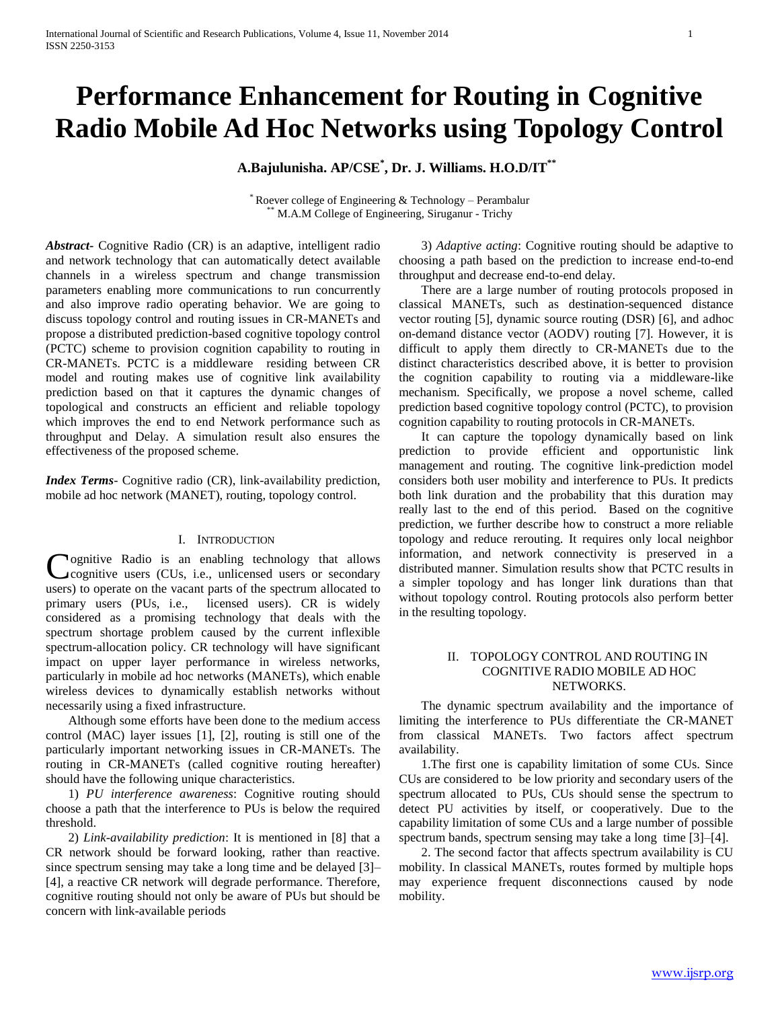# **Performance Enhancement for Routing in Cognitive Radio Mobile Ad Hoc Networks using Topology Control**

 **A.Bajulunisha. AP/CSE\* , Dr. J. Williams. H.O.D/IT\*\***

\* Roever college of Engineering & Technology – Perambalur M.A.M College of Engineering, Siruganur - Trichy

*Abstract***-** Cognitive Radio (CR) is an adaptive, intelligent radio and network technology that can automatically detect available channels in a wireless spectrum and change transmission parameters enabling more communications to run concurrently and also improve radio operating behavior. We are going to discuss topology control and routing issues in CR-MANETs and propose a distributed prediction-based cognitive topology control (PCTC) scheme to provision cognition capability to routing in CR-MANETs. PCTC is a middleware residing between CR model and routing makes use of cognitive link availability prediction based on that it captures the dynamic changes of topological and constructs an efficient and reliable topology which improves the end to end Network performance such as throughput and Delay. A simulation result also ensures the effectiveness of the proposed scheme.

*Index Terms*- Cognitive radio (CR), link-availability prediction, mobile ad hoc network (MANET), routing, topology control.

## I. INTRODUCTION

**Nognitive Radio is an enabling technology that allows** cognitive users (CUs, i.e., unlicensed users or secondary Cognitive Radio is an enabling technology that allows<br>
cognitive users (CUs, i.e., unlicensed users or secondary<br>
users) to operate on the vacant parts of the spectrum allocated to primary users (PUs, i.e., licensed users). CR is widely considered as a promising technology that deals with the spectrum shortage problem caused by the current inflexible spectrum-allocation policy. CR technology will have significant impact on upper layer performance in wireless networks, particularly in mobile ad hoc networks (MANETs), which enable wireless devices to dynamically establish networks without necessarily using a fixed infrastructure.

 Although some efforts have been done to the medium access control (MAC) layer issues [1], [2], routing is still one of the particularly important networking issues in CR-MANETs. The routing in CR-MANETs (called cognitive routing hereafter) should have the following unique characteristics.

 1) *PU interference awareness*: Cognitive routing should choose a path that the interference to PUs is below the required threshold.

 2) *Link-availability prediction*: It is mentioned in [8] that a CR network should be forward looking, rather than reactive. since spectrum sensing may take a long time and be delayed [3]– [4], a reactive CR network will degrade performance. Therefore, cognitive routing should not only be aware of PUs but should be concern with link-available periods

 3) *Adaptive acting*: Cognitive routing should be adaptive to choosing a path based on the prediction to increase end-to-end throughput and decrease end-to-end delay.

 There are a large number of routing protocols proposed in classical MANETs, such as destination-sequenced distance vector routing [5], dynamic source routing (DSR) [6], and adhoc on-demand distance vector (AODV) routing [7]. However, it is difficult to apply them directly to CR-MANETs due to the distinct characteristics described above, it is better to provision the cognition capability to routing via a middleware-like mechanism. Specifically, we propose a novel scheme, called prediction based cognitive topology control (PCTC), to provision cognition capability to routing protocols in CR-MANETs.

 It can capture the topology dynamically based on link prediction to provide efficient and opportunistic link management and routing. The cognitive link-prediction model considers both user mobility and interference to PUs. It predicts both link duration and the probability that this duration may really last to the end of this period. Based on the cognitive prediction, we further describe how to construct a more reliable topology and reduce rerouting. It requires only local neighbor information, and network connectivity is preserved in a distributed manner. Simulation results show that PCTC results in a simpler topology and has longer link durations than that without topology control. Routing protocols also perform better in the resulting topology.

## II. TOPOLOGY CONTROL AND ROUTING IN COGNITIVE RADIO MOBILE AD HOC NETWORKS.

 The dynamic spectrum availability and the importance of limiting the interference to PUs differentiate the CR-MANET from classical MANETs. Two factors affect spectrum availability.

 1.The first one is capability limitation of some CUs. Since CUs are considered to be low priority and secondary users of the spectrum allocated to PUs, CUs should sense the spectrum to detect PU activities by itself, or cooperatively. Due to the capability limitation of some CUs and a large number of possible spectrum bands, spectrum sensing may take a long time [3]–[4].

 2. The second factor that affects spectrum availability is CU mobility. In classical MANETs, routes formed by multiple hops may experience frequent disconnections caused by node mobility.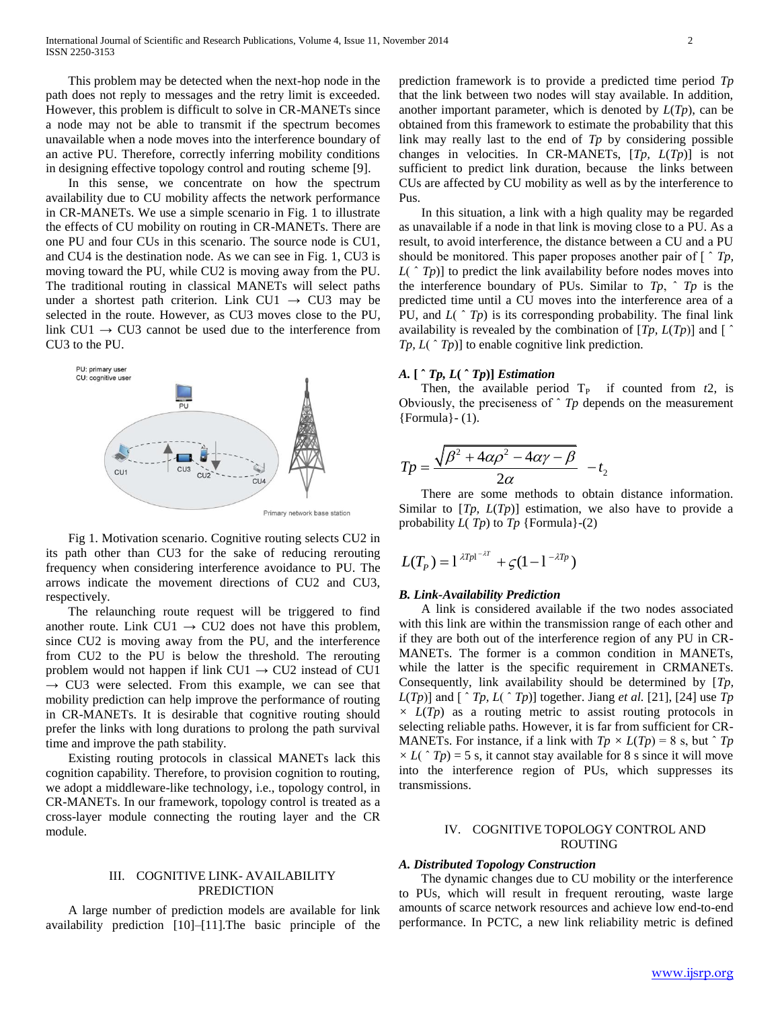This problem may be detected when the next-hop node in the path does not reply to messages and the retry limit is exceeded. However, this problem is difficult to solve in CR-MANETs since a node may not be able to transmit if the spectrum becomes unavailable when a node moves into the interference boundary of an active PU. Therefore, correctly inferring mobility conditions in designing effective topology control and routing scheme [9].

 In this sense, we concentrate on how the spectrum availability due to CU mobility affects the network performance in CR-MANETs. We use a simple scenario in Fig. 1 to illustrate the effects of CU mobility on routing in CR-MANETs. There are one PU and four CUs in this scenario. The source node is CU1, and CU4 is the destination node. As we can see in Fig. 1, CU3 is moving toward the PU, while CU2 is moving away from the PU. The traditional routing in classical MANETs will select paths under a shortest path criterion. Link CU1 *→* CU3 may be selected in the route. However, as CU3 moves close to the PU, link CU1 *→* CU3 cannot be used due to the interference from CU3 to the PU.



 Fig 1. Motivation scenario. Cognitive routing selects CU2 in its path other than CU3 for the sake of reducing rerouting frequency when considering interference avoidance to PU. The arrows indicate the movement directions of CU2 and CU3, respectively.

 The relaunching route request will be triggered to find another route. Link CU1  $\rightarrow$  CU2 does not have this problem, since CU2 is moving away from the PU, and the interference from CU2 to the PU is below the threshold. The rerouting problem would not happen if link CU1 *→* CU2 instead of CU1 *→* CU3 were selected. From this example, we can see that mobility prediction can help improve the performance of routing in CR-MANETs. It is desirable that cognitive routing should prefer the links with long durations to prolong the path survival time and improve the path stability.

 Existing routing protocols in classical MANETs lack this cognition capability. Therefore, to provision cognition to routing, we adopt a middleware-like technology, i.e., topology control, in CR-MANETs. In our framework, topology control is treated as a cross-layer module connecting the routing layer and the CR module.

## III. COGNITIVE LINK- AVAILABILITY PREDICTION

 A large number of prediction models are available for link availability prediction [10]–[11].The basic principle of the prediction framework is to provide a predicted time period *Tp*  that the link between two nodes will stay available. In addition, another important parameter, which is denoted by *L*(*Tp*), can be obtained from this framework to estimate the probability that this link may really last to the end of *Tp* by considering possible changes in velocities. In CR-MANETs, [*Tp, L*(*Tp*)] is not sufficient to predict link duration, because the links between CUs are affected by CU mobility as well as by the interference to Pus.

 In this situation, a link with a high quality may be regarded as unavailable if a node in that link is moving close to a PU. As a result, to avoid interference, the distance between a CU and a PU should be monitored. This paper proposes another pair of  $\lceil \int f p \rceil$ ,  $L({\uparrow} T_p)$  to predict the link availability before nodes moves into the interference boundary of PUs. Similar to  $Tp$ ,  $\hat{p}$  is the predicted time until a CU moves into the interference area of a PU, and *L*(  $\hat{p}$  *Tp*) is its corresponding probability. The final link availability is revealed by the combination of  $[T_p, L(T_p)]$  and  $[$ *Tp, L*(  $\hat{\ }$ *Tp*)] to enable cognitive link prediction.

#### *A.* **[ ˆ** *Tp, L***( ˆ** *Tp***)]** *Estimation*

Then, the available period  $T_P$  if counted from  $t2$ , is Obviously, the preciseness of ˆ *Tp* depends on the measurement {Formula}- (1).

$$
Tp = \frac{\sqrt{\beta^2 + 4\alpha\rho^2 - 4\alpha\gamma - \beta}}{2\alpha} - t_2
$$

 There are some methods to obtain distance information. Similar to [*Tp, L*(*Tp*)] estimation, we also have to provide a probability  $L(Tp)$  to  $Tp$  {Formula}-(2)

$$
L(T_P) = 1^{\lambda T_P 1^{-\lambda T}} + \varsigma (1 - 1^{-\lambda T_P})
$$

### *B. Link-Availability Prediction*

 A link is considered available if the two nodes associated with this link are within the transmission range of each other and if they are both out of the interference region of any PU in CR-MANETs. The former is a common condition in MANETs, while the latter is the specific requirement in CRMANETs. Consequently, link availability should be determined by [*Tp, L*(*Tp*)] and  $\lceil$   $\uparrow$  *Tp, L*( $\uparrow$  *Tp*)] together. Jiang *et al.* [21], [24] use *Tp × L*(*Tp*) as a routing metric to assist routing protocols in selecting reliable paths. However, it is far from sufficient for CR-MANETs. For instance, if a link with  $Tp \times L(Tp) = 8$  s, but  $\hat{T}$  $\times L(^{n}Tp) = 5$  s, it cannot stay available for 8 s since it will move into the interference region of PUs, which suppresses its transmissions.

#### IV. COGNITIVE TOPOLOGY CONTROL AND ROUTING

#### *A. Distributed Topology Construction*

 The dynamic changes due to CU mobility or the interference to PUs, which will result in frequent rerouting, waste large amounts of scarce network resources and achieve low end-to-end performance. In PCTC, a new link reliability metric is defined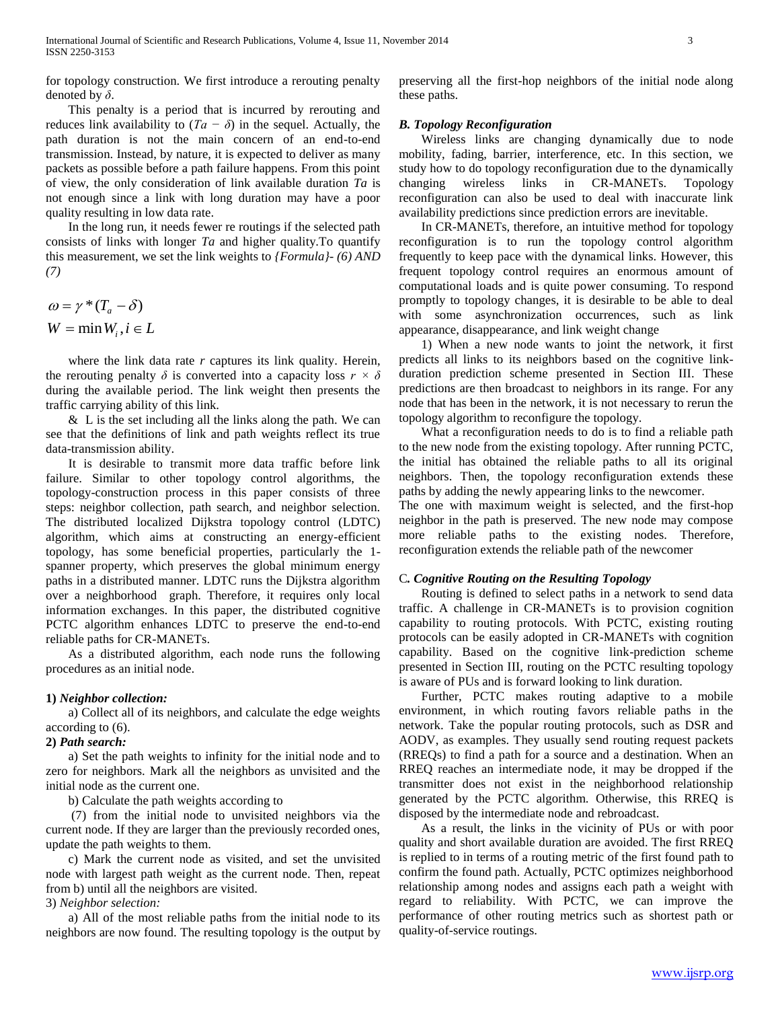for topology construction. We first introduce a rerouting penalty denoted by *δ*.

 This penalty is a period that is incurred by rerouting and reduces link availability to  $(Ta - \delta)$  in the sequel. Actually, the path duration is not the main concern of an end-to-end transmission. Instead, by nature, it is expected to deliver as many packets as possible before a path failure happens. From this point of view, the only consideration of link available duration *Ta* is not enough since a link with long duration may have a poor quality resulting in low data rate.

 In the long run, it needs fewer re routings if the selected path consists of links with longer *Ta* and higher quality.To quantify this measurement, we set the link weights to *{Formula}- (6) AND (7)*

$$
\omega = \gamma * (T_a - \delta)
$$
  
 
$$
W = \min W_i, i \in L
$$

 where the link data rate *r* captures its link quality. Herein, the rerouting penalty  $\delta$  is converted into a capacity loss  $r \times \delta$ during the available period. The link weight then presents the traffic carrying ability of this link.

 $&$  L is the set including all the links along the path. We can see that the definitions of link and path weights reflect its true data-transmission ability.

 It is desirable to transmit more data traffic before link failure. Similar to other topology control algorithms, the topology-construction process in this paper consists of three steps: neighbor collection, path search, and neighbor selection. The distributed localized Dijkstra topology control (LDTC) algorithm, which aims at constructing an energy-efficient topology, has some beneficial properties, particularly the 1 spanner property, which preserves the global minimum energy paths in a distributed manner. LDTC runs the Dijkstra algorithm over a neighborhood graph. Therefore, it requires only local information exchanges. In this paper, the distributed cognitive PCTC algorithm enhances LDTC to preserve the end-to-end reliable paths for CR-MANETs.

 As a distributed algorithm, each node runs the following procedures as an initial node.

#### **1)** *Neighbor collection:*

 a) Collect all of its neighbors, and calculate the edge weights according to (6).

#### **2)** *Path search:*

 a) Set the path weights to infinity for the initial node and to zero for neighbors. Mark all the neighbors as unvisited and the initial node as the current one.

b) Calculate the path weights according to

 (7) from the initial node to unvisited neighbors via the current node. If they are larger than the previously recorded ones, update the path weights to them.

 c) Mark the current node as visited, and set the unvisited node with largest path weight as the current node. Then, repeat from b) until all the neighbors are visited.

## 3) *Neighbor selection:*

 a) All of the most reliable paths from the initial node to its neighbors are now found. The resulting topology is the output by preserving all the first-hop neighbors of the initial node along these paths.

## *B. Topology Reconfiguration*

 Wireless links are changing dynamically due to node mobility, fading, barrier, interference, etc. In this section, we study how to do topology reconfiguration due to the dynamically changing wireless links in CR-MANETs. Topology reconfiguration can also be used to deal with inaccurate link availability predictions since prediction errors are inevitable.

 In CR-MANETs, therefore, an intuitive method for topology reconfiguration is to run the topology control algorithm frequently to keep pace with the dynamical links. However, this frequent topology control requires an enormous amount of computational loads and is quite power consuming. To respond promptly to topology changes, it is desirable to be able to deal with some asynchronization occurrences, such as link appearance, disappearance, and link weight change

 1) When a new node wants to joint the network, it first predicts all links to its neighbors based on the cognitive linkduration prediction scheme presented in Section III. These predictions are then broadcast to neighbors in its range. For any node that has been in the network, it is not necessary to rerun the topology algorithm to reconfigure the topology.

 What a reconfiguration needs to do is to find a reliable path to the new node from the existing topology. After running PCTC, the initial has obtained the reliable paths to all its original neighbors. Then, the topology reconfiguration extends these paths by adding the newly appearing links to the newcomer.

The one with maximum weight is selected, and the first-hop neighbor in the path is preserved. The new node may compose more reliable paths to the existing nodes. Therefore, reconfiguration extends the reliable path of the newcomer

## C*. Cognitive Routing on the Resulting Topology*

 Routing is defined to select paths in a network to send data traffic. A challenge in CR-MANETs is to provision cognition capability to routing protocols. With PCTC, existing routing protocols can be easily adopted in CR-MANETs with cognition capability. Based on the cognitive link-prediction scheme presented in Section III, routing on the PCTC resulting topology is aware of PUs and is forward looking to link duration.

 Further, PCTC makes routing adaptive to a mobile environment, in which routing favors reliable paths in the network. Take the popular routing protocols, such as DSR and AODV, as examples. They usually send routing request packets (RREQs) to find a path for a source and a destination. When an RREQ reaches an intermediate node, it may be dropped if the transmitter does not exist in the neighborhood relationship generated by the PCTC algorithm. Otherwise, this RREQ is disposed by the intermediate node and rebroadcast.

 As a result, the links in the vicinity of PUs or with poor quality and short available duration are avoided. The first RREQ is replied to in terms of a routing metric of the first found path to confirm the found path. Actually, PCTC optimizes neighborhood relationship among nodes and assigns each path a weight with regard to reliability. With PCTC, we can improve the performance of other routing metrics such as shortest path or quality-of-service routings.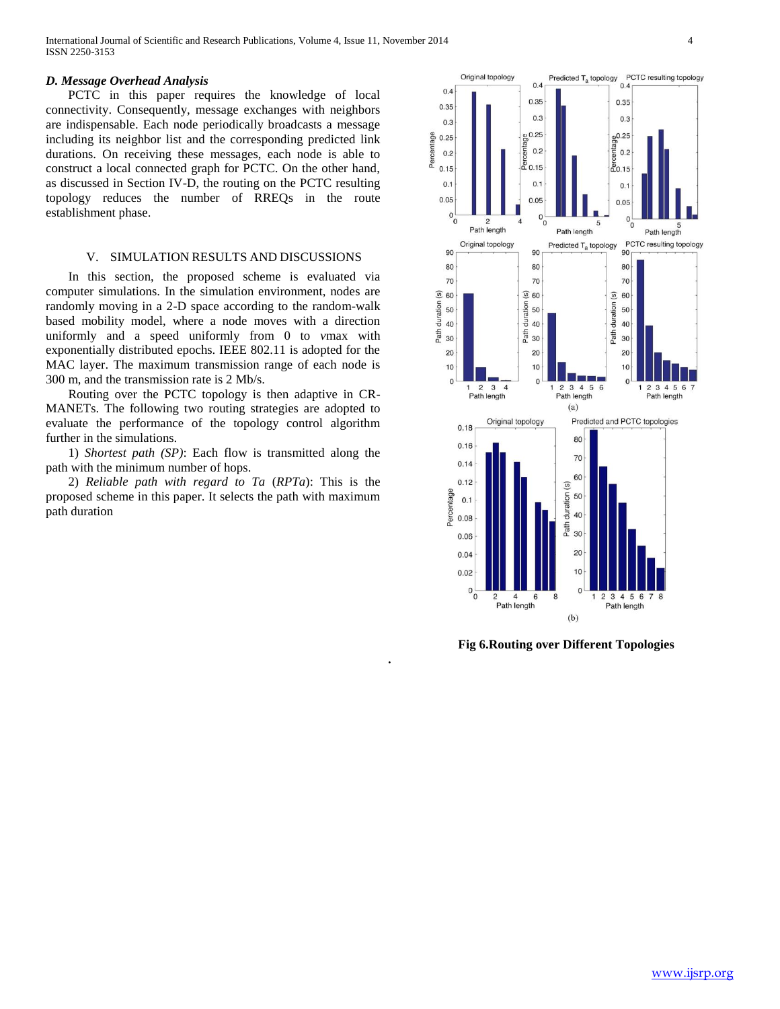### *D. Message Overhead Analysis*

 PCTC in this paper requires the knowledge of local connectivity. Consequently, message exchanges with neighbors are indispensable. Each node periodically broadcasts a message including its neighbor list and the corresponding predicted link durations. On receiving these messages, each node is able to construct a local connected graph for PCTC. On the other hand, as discussed in Section IV-D, the routing on the PCTC resulting topology reduces the number of RREQs in the route establishment phase.

#### V. SIMULATION RESULTS AND DISCUSSIONS

 In this section, the proposed scheme is evaluated via computer simulations. In the simulation environment, nodes are randomly moving in a 2-D space according to the random-walk based mobility model, where a node moves with a direction uniformly and a speed uniformly from 0 to *v*max with exponentially distributed epochs. IEEE 802.11 is adopted for the MAC layer. The maximum transmission range of each node is 300 m, and the transmission rate is 2 Mb/s.

 Routing over the PCTC topology is then adaptive in CR-MANETs. The following two routing strategies are adopted to evaluate the performance of the topology control algorithm further in the simulations.

 1) *Shortest path (SP)*: Each flow is transmitted along the path with the minimum number of hops.

 2) *Reliable path with regard to Ta* (*RPTa*): This is the proposed scheme in this paper. It selects the path with maximum path duration



**Fig 6.Routing over Different Topologies**

**.**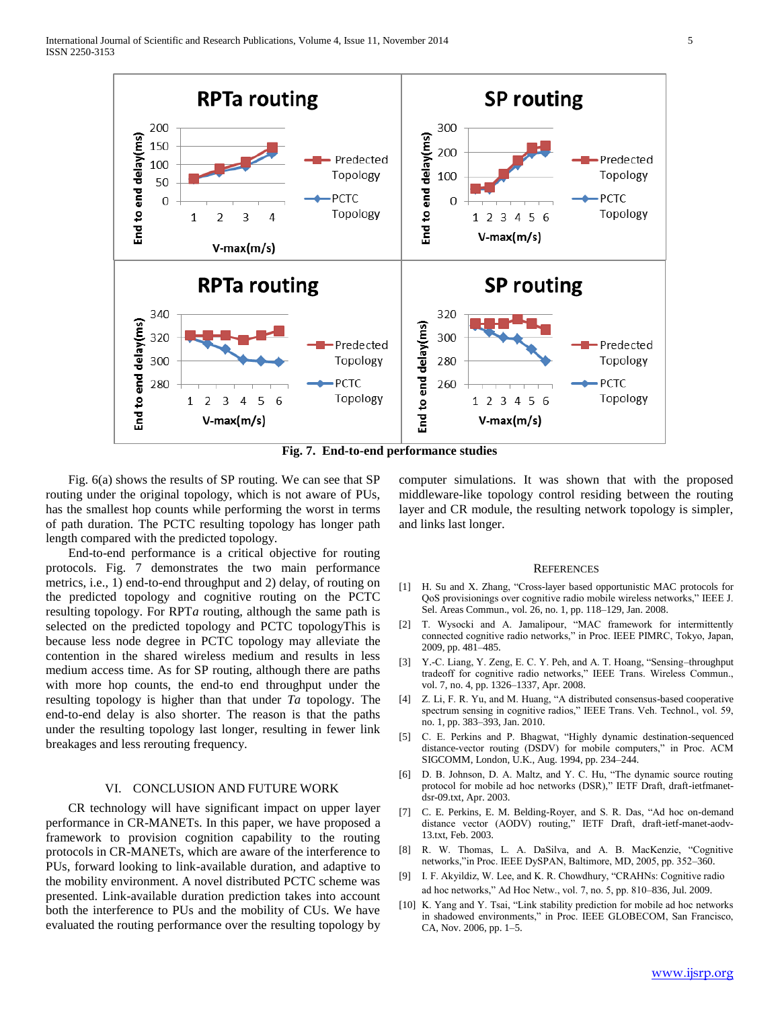

**Fig. 7. End-to-end performance studies**

 Fig. 6(a) shows the results of SP routing. We can see that SP routing under the original topology, which is not aware of PUs, has the smallest hop counts while performing the worst in terms of path duration. The PCTC resulting topology has longer path length compared with the predicted topology.

 End-to-end performance is a critical objective for routing protocols. Fig. 7 demonstrates the two main performance metrics, i.e., 1) end-to-end throughput and 2) delay, of routing on the predicted topology and cognitive routing on the PCTC resulting topology. For RPT*a* routing, although the same path is selected on the predicted topology and PCTC topologyThis is because less node degree in PCTC topology may alleviate the contention in the shared wireless medium and results in less medium access time. As for SP routing, although there are paths with more hop counts, the end-to end throughput under the resulting topology is higher than that under *Ta* topology. The end-to-end delay is also shorter. The reason is that the paths under the resulting topology last longer, resulting in fewer link breakages and less rerouting frequency.

## VI. CONCLUSION AND FUTURE WORK

 CR technology will have significant impact on upper layer performance in CR-MANETs. In this paper, we have proposed a framework to provision cognition capability to the routing protocols in CR-MANETs, which are aware of the interference to PUs, forward looking to link-available duration, and adaptive to the mobility environment. A novel distributed PCTC scheme was presented. Link-available duration prediction takes into account both the interference to PUs and the mobility of CUs. We have evaluated the routing performance over the resulting topology by

computer simulations. It was shown that with the proposed middleware-like topology control residing between the routing layer and CR module, the resulting network topology is simpler, and links last longer.

#### **REFERENCES**

- [1] H. Su and X. Zhang, "Cross-layer based opportunistic MAC protocols for QoS provisionings over cognitive radio mobile wireless networks," IEEE J. Sel. Areas Commun., vol. 26, no. 1, pp. 118–129, Jan. 2008.
- [2] T. Wysocki and A. Jamalipour, "MAC framework for intermittently connected cognitive radio networks," in Proc. IEEE PIMRC, Tokyo, Japan, 2009, pp. 481–485.
- [3] Y.-C. Liang, Y. Zeng, E. C. Y. Peh, and A. T. Hoang, "Sensing–throughput tradeoff for cognitive radio networks," IEEE Trans. Wireless Commun., vol. 7, no. 4, pp. 1326–1337, Apr. 2008.
- [4] Z. Li, F. R. Yu, and M. Huang, "A distributed consensus-based cooperative spectrum sensing in cognitive radios," IEEE Trans. Veh. Technol., vol. 59, no. 1, pp. 383–393, Jan. 2010.
- [5] C. E. Perkins and P. Bhagwat, "Highly dynamic destination-sequenced distance-vector routing (DSDV) for mobile computers," in Proc. ACM SIGCOMM, London, U.K., Aug. 1994, pp. 234–244.
- [6] D. B. Johnson, D. A. Maltz, and Y. C. Hu, "The dynamic source routing protocol for mobile ad hoc networks (DSR)," IETF Draft, draft-ietfmanetdsr-09.txt, Apr. 2003.
- [7] C. E. Perkins, E. M. Belding-Royer, and S. R. Das, "Ad hoc on-demand distance vector (AODV) routing," IETF Draft, draft-ietf-manet-aodv-13.txt, Feb. 2003.
- [8] R. W. Thomas, L. A. DaSilva, and A. B. MacKenzie, "Cognitive networks,"in Proc. IEEE DySPAN, Baltimore, MD, 2005, pp. 352–360.
- [9] I. F. Akyildiz, W. Lee, and K. R. Chowdhury, "CRAHNs: Cognitive radio ad hoc networks," Ad Hoc Netw., vol. 7, no. 5, pp. 810–836, Jul. 2009.
- [10] K. Yang and Y. Tsai, "Link stability prediction for mobile ad hoc networks in shadowed environments," in Proc. IEEE GLOBECOM, San Francisco, CA, Nov. 2006, pp. 1–5.